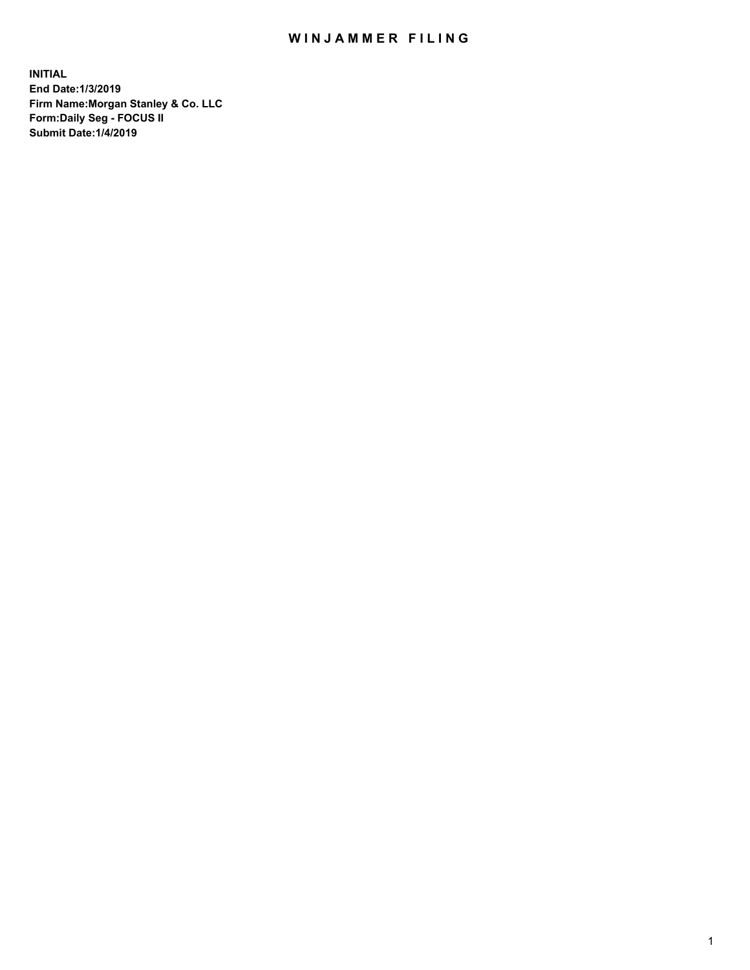## WIN JAMMER FILING

**INITIAL End Date:1/3/2019 Firm Name:Morgan Stanley & Co. LLC Form:Daily Seg - FOCUS II Submit Date:1/4/2019**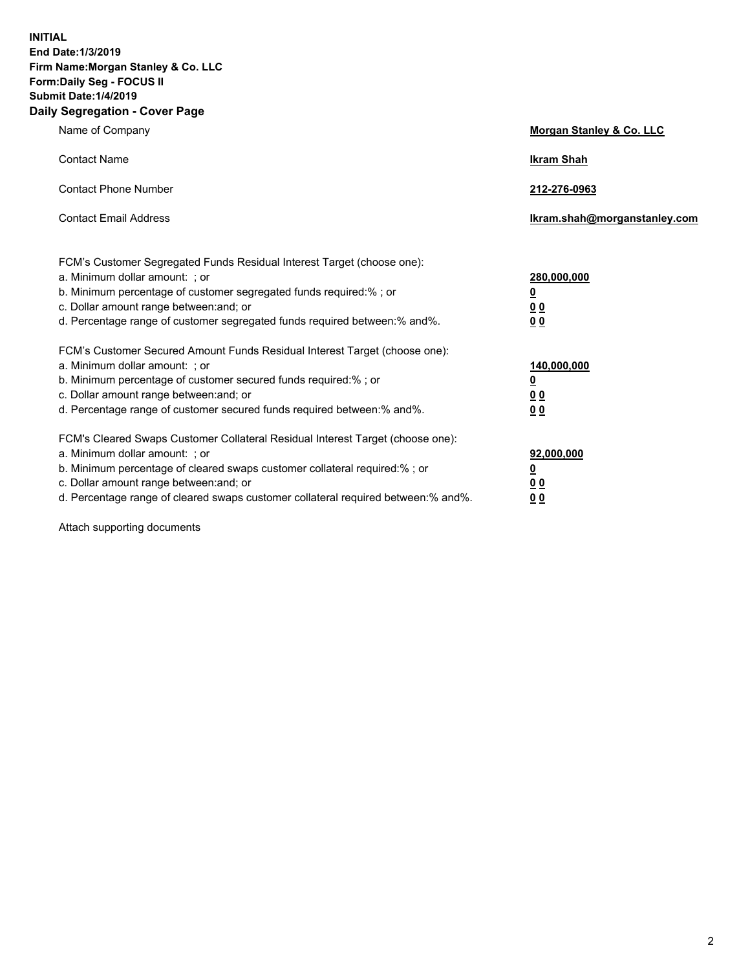**INITIAL End Date:1/3/2019 Firm Name:Morgan Stanley & Co. LLC Form:Daily Seg - FOCUS II Submit Date:1/4/2019 Daily Segregation - Cover Page**

| Name of Company                                                                                          | Morgan Stanley & Co. LLC     |
|----------------------------------------------------------------------------------------------------------|------------------------------|
| <b>Contact Name</b>                                                                                      | <b>Ikram Shah</b>            |
| <b>Contact Phone Number</b>                                                                              | 212-276-0963                 |
| <b>Contact Email Address</b>                                                                             | Ikram.shah@morganstanley.com |
|                                                                                                          |                              |
| FCM's Customer Segregated Funds Residual Interest Target (choose one):<br>a. Minimum dollar amount: ; or | 280,000,000                  |
| b. Minimum percentage of customer segregated funds required:% ; or                                       | <u>0</u>                     |
| c. Dollar amount range between: and; or                                                                  | <u>00</u>                    |
| d. Percentage range of customer segregated funds required between: % and %.                              | 0 <sup>0</sup>               |
| FCM's Customer Secured Amount Funds Residual Interest Target (choose one):                               |                              |
| a. Minimum dollar amount: ; or                                                                           | 140,000,000                  |
| b. Minimum percentage of customer secured funds required:%; or                                           | <u>0</u>                     |
| c. Dollar amount range between: and; or                                                                  | <u>0 0</u>                   |
| d. Percentage range of customer secured funds required between:% and%.                                   | 0 <sup>0</sup>               |
| FCM's Cleared Swaps Customer Collateral Residual Interest Target (choose one):                           |                              |
| a. Minimum dollar amount: ; or                                                                           | 92,000,000                   |
| b. Minimum percentage of cleared swaps customer collateral required:% ; or                               | <u>0</u>                     |
| c. Dollar amount range between: and; or                                                                  | 0 Q                          |
| d. Percentage range of cleared swaps customer collateral required between:% and%.                        | 0 <sub>0</sub>               |

Attach supporting documents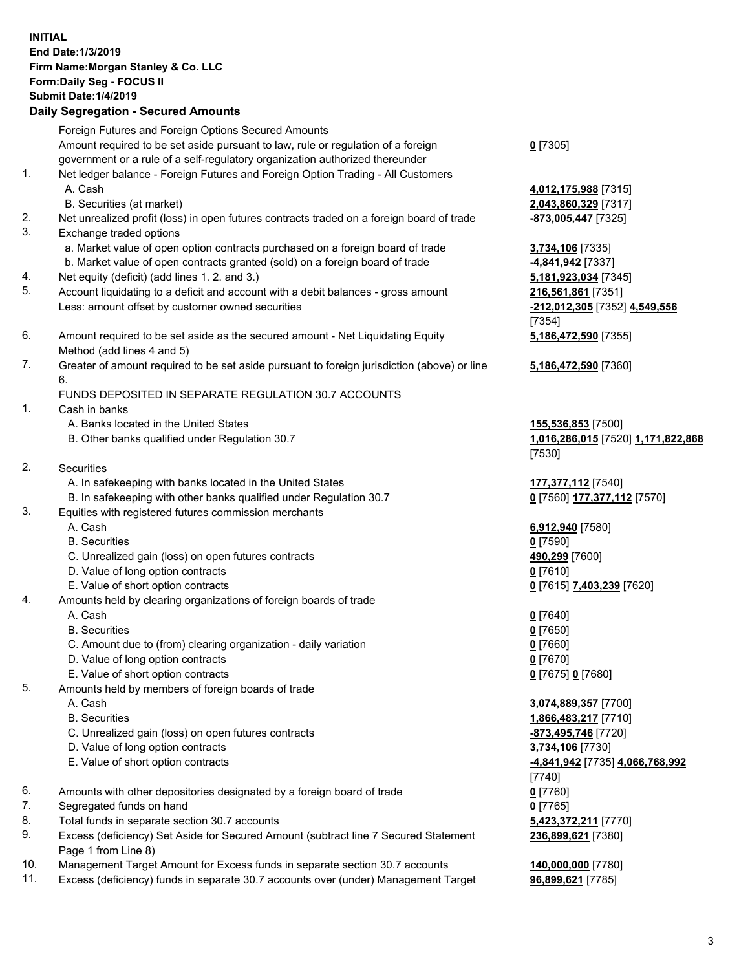|          | <b>INITIAL</b><br>End Date: 1/3/2019<br>Firm Name: Morgan Stanley & Co. LLC<br>Form: Daily Seg - FOCUS II<br><b>Submit Date: 1/4/2019</b><br><b>Daily Segregation - Secured Amounts</b>                 |                                                                                       |
|----------|---------------------------------------------------------------------------------------------------------------------------------------------------------------------------------------------------------|---------------------------------------------------------------------------------------|
|          | Foreign Futures and Foreign Options Secured Amounts<br>Amount required to be set aside pursuant to law, rule or regulation of a foreign                                                                 | $0$ [7305]                                                                            |
| 1.       | government or a rule of a self-regulatory organization authorized thereunder<br>Net ledger balance - Foreign Futures and Foreign Option Trading - All Customers<br>A. Cash<br>B. Securities (at market) | 4,012,175,988 [7315]<br>2,043,860,329 [7317]                                          |
| 2.<br>3. | Net unrealized profit (loss) in open futures contracts traded on a foreign board of trade<br>Exchange traded options                                                                                    | -873,005,447 [7325]                                                                   |
|          | a. Market value of open option contracts purchased on a foreign board of trade<br>b. Market value of open contracts granted (sold) on a foreign board of trade                                          | 3,734,106 [7335]<br>4,841,942 [7337]                                                  |
| 4.<br>5. | Net equity (deficit) (add lines 1.2. and 3.)<br>Account liquidating to a deficit and account with a debit balances - gross amount<br>Less: amount offset by customer owned securities                   | 5,181,923,034 [7345]<br>216,561,861 [7351]<br>-212,012,305 [7352] 4,549,556<br>[7354] |
| 6.       | Amount required to be set aside as the secured amount - Net Liquidating Equity<br>Method (add lines 4 and 5)                                                                                            | 5,186,472,590 [7355]                                                                  |
| 7.       | Greater of amount required to be set aside pursuant to foreign jurisdiction (above) or line<br>6.                                                                                                       | 5,186,472,590 [7360]                                                                  |
| 1.       | FUNDS DEPOSITED IN SEPARATE REGULATION 30.7 ACCOUNTS<br>Cash in banks                                                                                                                                   |                                                                                       |
|          | A. Banks located in the United States<br>B. Other banks qualified under Regulation 30.7                                                                                                                 | 155,536,853 [7500]<br>1,016,286,015 [7520] 1,171,822,868<br>[7530]                    |
| 2.       | Securities                                                                                                                                                                                              |                                                                                       |
|          | A. In safekeeping with banks located in the United States<br>B. In safekeeping with other banks qualified under Regulation 30.7                                                                         | 177,377,112 [7540]<br>0 [7560] 177,377,112 [7570]                                     |
| 3.       | Equities with registered futures commission merchants                                                                                                                                                   |                                                                                       |
|          | A. Cash<br><b>B.</b> Securities                                                                                                                                                                         | 6,912,940 [7580]<br>$0$ [7590]                                                        |
|          | C. Unrealized gain (loss) on open futures contracts                                                                                                                                                     | 490,299 [7600]                                                                        |
|          | D. Value of long option contracts                                                                                                                                                                       | $0$ [7610]                                                                            |
|          | E. Value of short option contracts                                                                                                                                                                      | 0 [7615] 7,403,239 [7620]                                                             |
| 4.       | Amounts held by clearing organizations of foreign boards of trade                                                                                                                                       |                                                                                       |
|          | A. Cash                                                                                                                                                                                                 | $0$ [7640]                                                                            |
|          | <b>B.</b> Securities<br>C. Amount due to (from) clearing organization - daily variation                                                                                                                 | $0$ [7650]<br>$0$ [7660]                                                              |
|          | D. Value of long option contracts                                                                                                                                                                       | $0$ [7670]                                                                            |
|          | E. Value of short option contracts                                                                                                                                                                      | 0 [7675] 0 [7680]                                                                     |
| 5.       | Amounts held by members of foreign boards of trade                                                                                                                                                      |                                                                                       |
|          | A. Cash                                                                                                                                                                                                 | 3,074,889,357 [7700]                                                                  |
|          | <b>B.</b> Securities                                                                                                                                                                                    | 1,866,483,217 [7710]                                                                  |
|          | C. Unrealized gain (loss) on open futures contracts                                                                                                                                                     | -873,495,746 [7720]                                                                   |
|          | D. Value of long option contracts                                                                                                                                                                       | 3,734,106 [7730]                                                                      |
|          | E. Value of short option contracts                                                                                                                                                                      | -4,841,942 [7735] 4,066,768,992                                                       |
|          |                                                                                                                                                                                                         | $[7740]$                                                                              |
| 6.<br>7. | Amounts with other depositories designated by a foreign board of trade<br>Segregated funds on hand                                                                                                      | $0$ [7760]<br>$0$ [7765]                                                              |
| 8.       | Total funds in separate section 30.7 accounts                                                                                                                                                           | 5,423,372,211 [7770]                                                                  |
| 9.       | Excess (deficiency) Set Aside for Secured Amount (subtract line 7 Secured Statement                                                                                                                     | 236,899,621 [7380]                                                                    |
|          | Page 1 from Line 8)                                                                                                                                                                                     |                                                                                       |

- 10. Management Target Amount for Excess funds in separate section 30.7 accounts **140,000,000** [7780]
- 11. Excess (deficiency) funds in separate 30.7 accounts over (under) Management Target **96,899,621** [7785]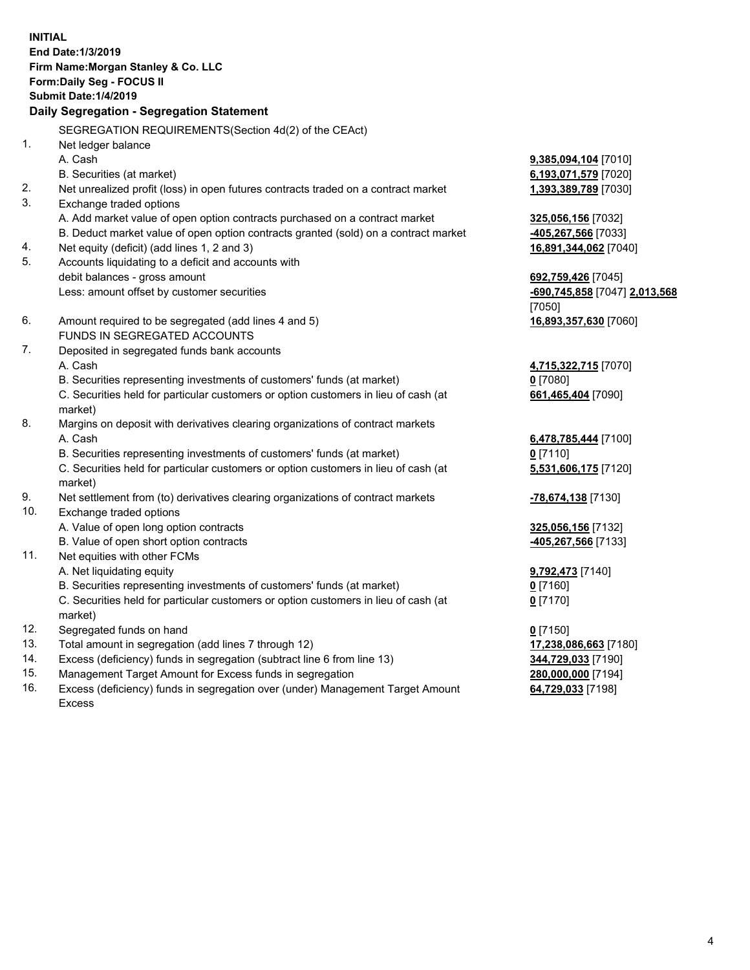**INITIAL End Date:1/3/2019 Firm Name:Morgan Stanley & Co. LLC Form:Daily Seg - FOCUS II Submit Date:1/4/2019 Daily Segregation - Segregation Statement** SEGREGATION REQUIREMENTS(Section 4d(2) of the CEAct) 1. Net ledger balance A. Cash **9,385,094,104** [7010] B. Securities (at market) **6,193,071,579** [7020] 2. Net unrealized profit (loss) in open futures contracts traded on a contract market **1,393,389,789** [7030] 3. Exchange traded options A. Add market value of open option contracts purchased on a contract market **325,056,156** [7032] B. Deduct market value of open option contracts granted (sold) on a contract market **-405,267,566** [7033] 4. Net equity (deficit) (add lines 1, 2 and 3) **16,891,344,062** [7040] 5. Accounts liquidating to a deficit and accounts with debit balances - gross amount **692,759,426** [7045] Less: amount offset by customer securities **-690,745,858** [7047] **2,013,568** [7050] 6. Amount required to be segregated (add lines 4 and 5) **16,893,357,630** [7060] FUNDS IN SEGREGATED ACCOUNTS 7. Deposited in segregated funds bank accounts A. Cash **4,715,322,715** [7070] B. Securities representing investments of customers' funds (at market) **0** [7080] C. Securities held for particular customers or option customers in lieu of cash (at market) **661,465,404** [7090] 8. Margins on deposit with derivatives clearing organizations of contract markets A. Cash **6,478,785,444** [7100] B. Securities representing investments of customers' funds (at market) **0** [7110] C. Securities held for particular customers or option customers in lieu of cash (at market) **5,531,606,175** [7120] 9. Net settlement from (to) derivatives clearing organizations of contract markets **-78,674,138** [7130] 10. Exchange traded options A. Value of open long option contracts **325,056,156** [7132] B. Value of open short option contracts **-405,267,566** [7133] 11. Net equities with other FCMs A. Net liquidating equity **9,792,473** [7140] B. Securities representing investments of customers' funds (at market) **0** [7160] C. Securities held for particular customers or option customers in lieu of cash (at market) **0** [7170] 12. Segregated funds on hand **0** [7150] 13. Total amount in segregation (add lines 7 through 12) **17,238,086,663** [7180] 14. Excess (deficiency) funds in segregation (subtract line 6 from line 13) **344,729,033** [7190] 15. Management Target Amount for Excess funds in segregation **280,000,000** [7194]

- 16. Excess (deficiency) funds in segregation over (under) Management Target Amount
	- Excess

**64,729,033** [7198]